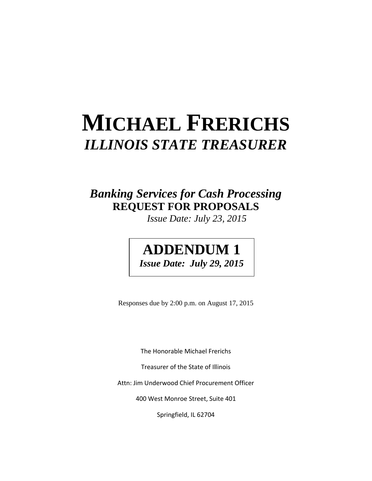# **MICHAEL FRERICHS** *ILLINOIS STATE TREASURER*

## *Banking Services for Cash Processing* **REQUEST FOR PROPOSALS**

*Issue Date: July 23, 2015*

## **ADDENDUM 1** *Issue Date: July 29, 2015*

Responses due by 2:00 p.m. on August 17, 2015

The Honorable Michael Frerichs

Treasurer of the State of Illinois

Attn: Jim Underwood Chief Procurement Officer

400 West Monroe Street, Suite 401

Springfield, IL 62704